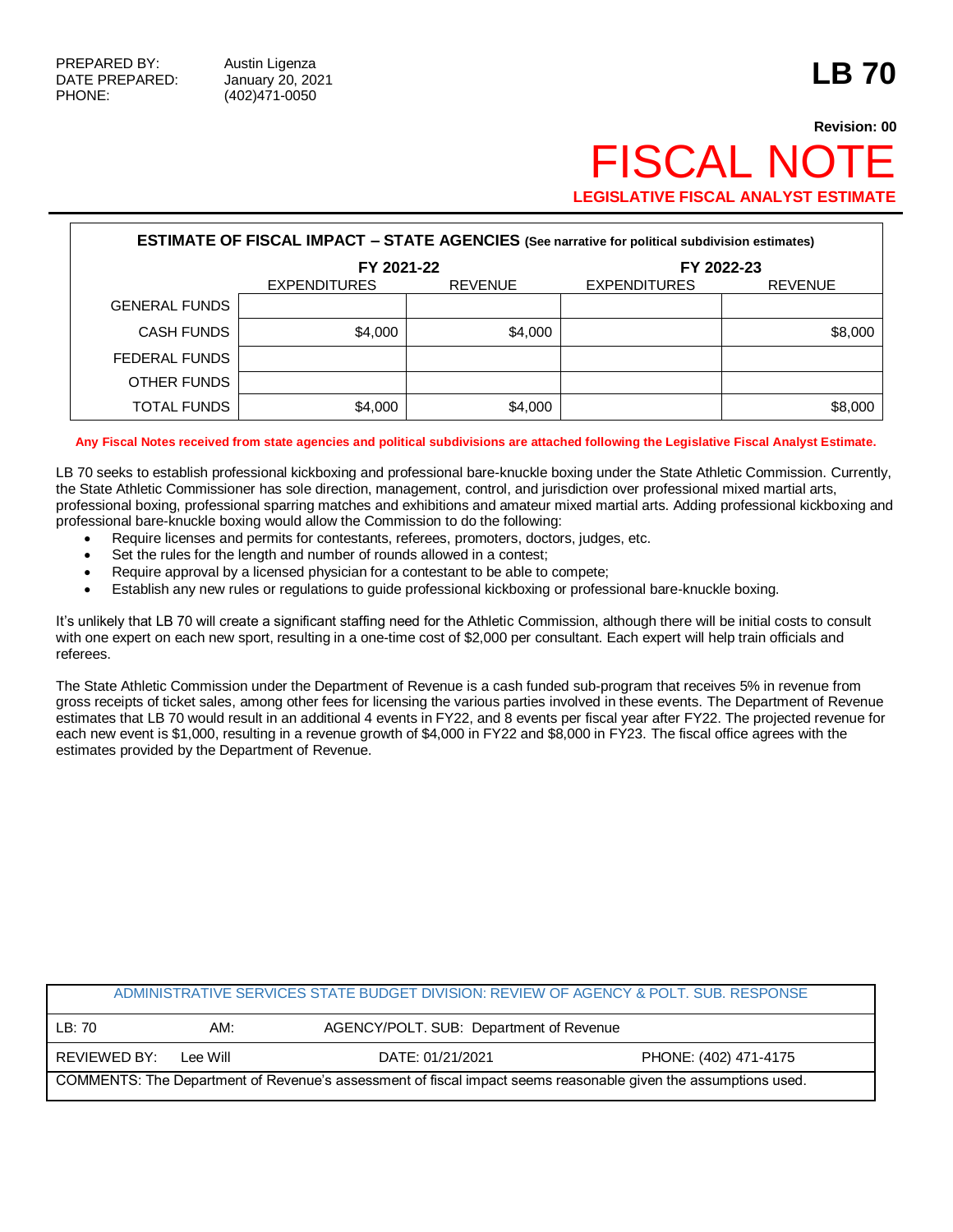## **Revision: 00 FISCAL NO LEGISLATIVE FISCAL ANALYST ESTIMATE**

| <b>ESTIMATE OF FISCAL IMPACT - STATE AGENCIES</b> (See narrative for political subdivision estimates) |                     |                |                     |                |  |  |
|-------------------------------------------------------------------------------------------------------|---------------------|----------------|---------------------|----------------|--|--|
|                                                                                                       | FY 2021-22          |                | FY 2022-23          |                |  |  |
|                                                                                                       | <b>EXPENDITURES</b> | <b>REVENUE</b> | <b>EXPENDITURES</b> | <b>REVENUE</b> |  |  |
| <b>GENERAL FUNDS</b>                                                                                  |                     |                |                     |                |  |  |
| <b>CASH FUNDS</b>                                                                                     | \$4,000             | \$4,000        |                     | \$8,000        |  |  |
| FEDERAL FUNDS                                                                                         |                     |                |                     |                |  |  |
| OTHER FUNDS                                                                                           |                     |                |                     |                |  |  |
| <b>TOTAL FUNDS</b>                                                                                    | \$4,000             | \$4,000        |                     | \$8,000        |  |  |

**Any Fiscal Notes received from state agencies and political subdivisions are attached following the Legislative Fiscal Analyst Estimate.**

LB 70 seeks to establish professional kickboxing and professional bare-knuckle boxing under the State Athletic Commission. Currently, the State Athletic Commissioner has sole direction, management, control, and jurisdiction over professional mixed martial arts, professional boxing, professional sparring matches and exhibitions and amateur mixed martial arts. Adding professional kickboxing and professional bare-knuckle boxing would allow the Commission to do the following:

- Require licenses and permits for contestants, referees, promoters, doctors, judges, etc.
- Set the rules for the length and number of rounds allowed in a contest;
- Require approval by a licensed physician for a contestant to be able to compete;
- Establish any new rules or regulations to guide professional kickboxing or professional bare-knuckle boxing.

It's unlikely that LB 70 will create a significant staffing need for the Athletic Commission, although there will be initial costs to consult with one expert on each new sport, resulting in a one-time cost of \$2,000 per consultant. Each expert will help train officials and referees.

The State Athletic Commission under the Department of Revenue is a cash funded sub-program that receives 5% in revenue from gross receipts of ticket sales, among other fees for licensing the various parties involved in these events. The Department of Revenue estimates that LB 70 would result in an additional 4 events in FY22, and 8 events per fiscal year after FY22. The projected revenue for each new event is \$1,000, resulting in a revenue growth of \$4,000 in FY22 and \$8,000 in FY23. The fiscal office agrees with the estimates provided by the Department of Revenue.

| ADMINISTRATIVE SERVICES STATE BUDGET DIVISION: REVIEW OF AGENCY & POLT. SUB. RESPONSE                          |          |                                         |                       |  |  |  |
|----------------------------------------------------------------------------------------------------------------|----------|-----------------------------------------|-----------------------|--|--|--|
| LB: 70                                                                                                         | AM:      | AGENCY/POLT. SUB: Department of Revenue |                       |  |  |  |
| REVIEWED BY:                                                                                                   | Lee Will | DATE: 01/21/2021                        | PHONE: (402) 471-4175 |  |  |  |
| COMMENTS: The Department of Revenue's assessment of fiscal impact seems reasonable given the assumptions used. |          |                                         |                       |  |  |  |